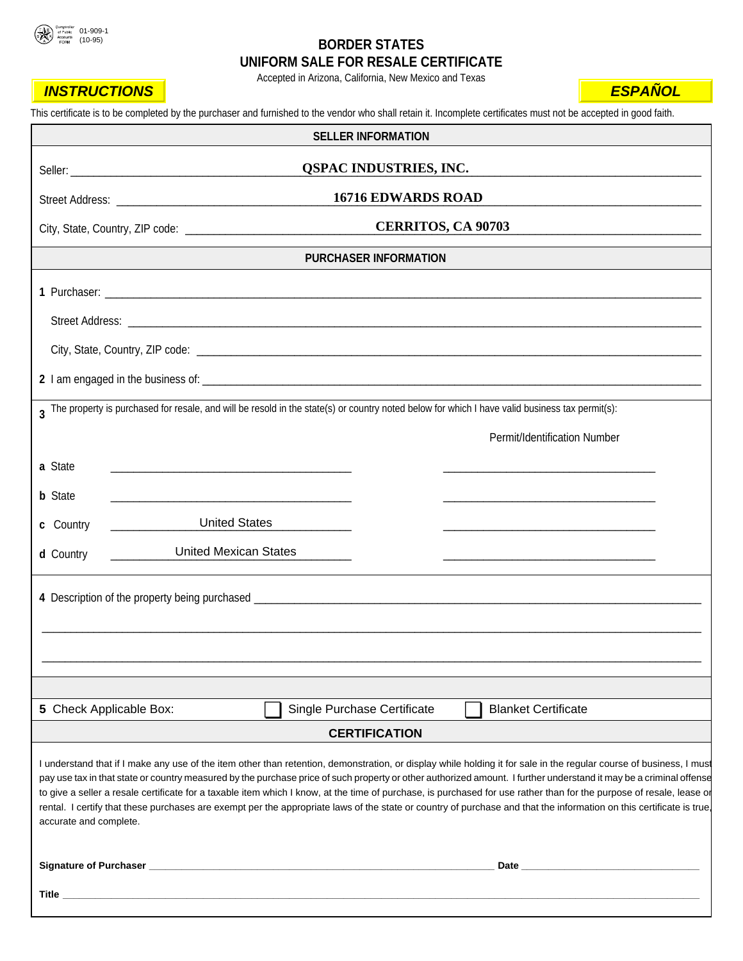<span id="page-0-0"></span>

# **BORDER STATES UNIFORM SALE FOR RESALE CERTIFICATE**

Accepted in Arizona, California, New Mexico and Texas

| <b>INSTRUCTIONS</b>     |                                                                                                                                                                                                                                                                                                                                                                                                                                                                                                                                                                                                                                                                                           | <b>ESPANOL</b> |
|-------------------------|-------------------------------------------------------------------------------------------------------------------------------------------------------------------------------------------------------------------------------------------------------------------------------------------------------------------------------------------------------------------------------------------------------------------------------------------------------------------------------------------------------------------------------------------------------------------------------------------------------------------------------------------------------------------------------------------|----------------|
|                         | This certificate is to be completed by the purchaser and furnished to the vendor who shall retain it. Incomplete certificates must not be accepted in good faith.                                                                                                                                                                                                                                                                                                                                                                                                                                                                                                                         |                |
|                         | <b>SELLER INFORMATION</b>                                                                                                                                                                                                                                                                                                                                                                                                                                                                                                                                                                                                                                                                 |                |
|                         | <b>QSPAC INDUSTRIES, INC.</b>                                                                                                                                                                                                                                                                                                                                                                                                                                                                                                                                                                                                                                                             |                |
|                         | <b>16716 EDWARDS ROAD</b>                                                                                                                                                                                                                                                                                                                                                                                                                                                                                                                                                                                                                                                                 |                |
|                         | <b>CERRITOS, CA 90703</b>                                                                                                                                                                                                                                                                                                                                                                                                                                                                                                                                                                                                                                                                 |                |
|                         | <b>PURCHASER INFORMATION</b>                                                                                                                                                                                                                                                                                                                                                                                                                                                                                                                                                                                                                                                              |                |
|                         |                                                                                                                                                                                                                                                                                                                                                                                                                                                                                                                                                                                                                                                                                           |                |
|                         |                                                                                                                                                                                                                                                                                                                                                                                                                                                                                                                                                                                                                                                                                           |                |
|                         |                                                                                                                                                                                                                                                                                                                                                                                                                                                                                                                                                                                                                                                                                           |                |
|                         |                                                                                                                                                                                                                                                                                                                                                                                                                                                                                                                                                                                                                                                                                           |                |
|                         | 3 The property is purchased for resale, and will be resold in the state(s) or country noted below for which I have valid business tax permit(s):                                                                                                                                                                                                                                                                                                                                                                                                                                                                                                                                          |                |
|                         | Permit/Identification Number                                                                                                                                                                                                                                                                                                                                                                                                                                                                                                                                                                                                                                                              |                |
| a State                 |                                                                                                                                                                                                                                                                                                                                                                                                                                                                                                                                                                                                                                                                                           |                |
| <b>b</b> State          |                                                                                                                                                                                                                                                                                                                                                                                                                                                                                                                                                                                                                                                                                           |                |
| c Country               | <b>United States</b>                                                                                                                                                                                                                                                                                                                                                                                                                                                                                                                                                                                                                                                                      |                |
| d Country               | <b>United Mexican States</b>                                                                                                                                                                                                                                                                                                                                                                                                                                                                                                                                                                                                                                                              |                |
|                         |                                                                                                                                                                                                                                                                                                                                                                                                                                                                                                                                                                                                                                                                                           |                |
|                         | 4 Description of the property being purchased ___________________________________                                                                                                                                                                                                                                                                                                                                                                                                                                                                                                                                                                                                         |                |
|                         |                                                                                                                                                                                                                                                                                                                                                                                                                                                                                                                                                                                                                                                                                           |                |
|                         |                                                                                                                                                                                                                                                                                                                                                                                                                                                                                                                                                                                                                                                                                           |                |
|                         |                                                                                                                                                                                                                                                                                                                                                                                                                                                                                                                                                                                                                                                                                           |                |
| 5 Check Applicable Box: | Single Purchase Certificate<br><b>Blanket Certificate</b>                                                                                                                                                                                                                                                                                                                                                                                                                                                                                                                                                                                                                                 |                |
|                         | <b>CERTIFICATION</b>                                                                                                                                                                                                                                                                                                                                                                                                                                                                                                                                                                                                                                                                      |                |
| accurate and complete.  | I understand that if I make any use of the item other than retention, demonstration, or display while holding it for sale in the regular course of business, I must<br>pay use tax in that state or country measured by the purchase price of such property or other authorized amount. I further understand it may be a criminal offense<br>to give a seller a resale certificate for a taxable item which I know, at the time of purchase, is purchased for use rather than for the purpose of resale, lease or<br>rental. I certify that these purchases are exempt per the appropriate laws of the state or country of purchase and that the information on this certificate is true, |                |
|                         |                                                                                                                                                                                                                                                                                                                                                                                                                                                                                                                                                                                                                                                                                           |                |
|                         |                                                                                                                                                                                                                                                                                                                                                                                                                                                                                                                                                                                                                                                                                           |                |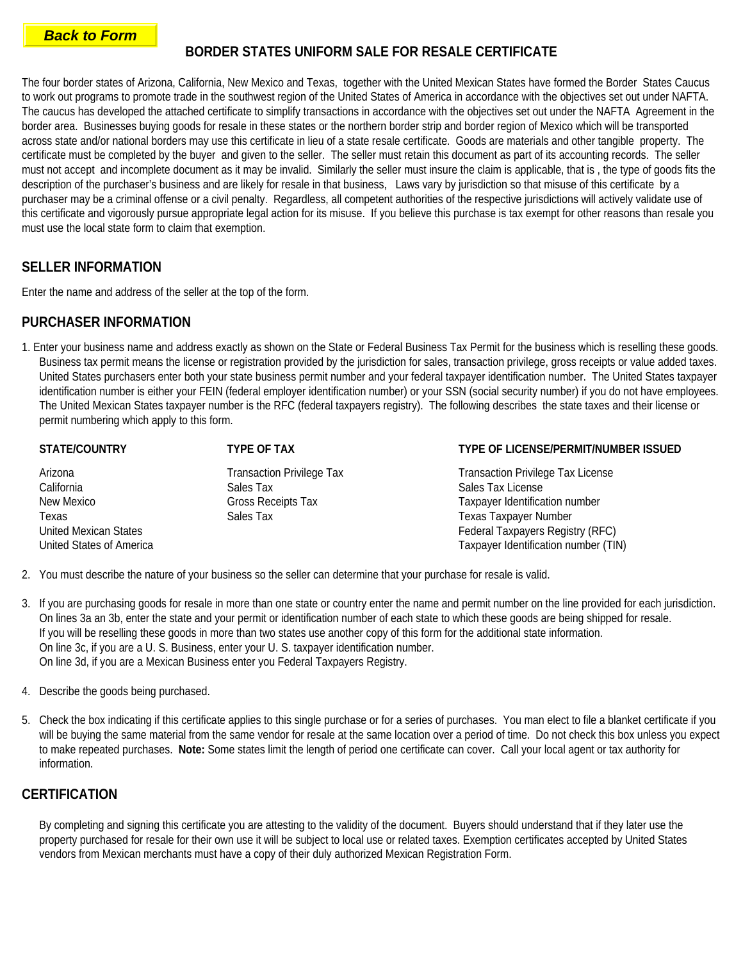### <span id="page-1-0"></span>**[Back to Form](#page-0-0)**

## **BORDER STATES UNIFORM SALE FOR RESALE CERTIFICATE**

The four border states of Arizona, California, New Mexico and Texas, together with the United Mexican States have formed the Border States Caucus to work out programs to promote trade in the southwest region of the United States of America in accordance with the objectives set out under NAFTA. The caucus has developed the attached certificate to simplify transactions in accordance with the objectives set out under the NAFTA Agreement in the border area. Businesses buying goods for resale in these states or the northern border strip and border region of Mexico which will be transported across state and/or national borders may use this certificate in lieu of a state resale certificate. Goods are materials and other tangible property. The certificate must be completed by the buyer and given to the seller. The seller must retain this document as part of its accounting records. The seller must not accept and incomplete document as it may be invalid. Similarly the seller must insure the claim is applicable, that is , the type of goods fits the description of the purchaser's business and are likely for resale in that business, Laws vary by jurisdiction so that misuse of this certificate by a purchaser may be a criminal offense or a civil penalty. Regardless, all competent authorities of the respective jurisdictions will actively validate use of this certificate and vigorously pursue appropriate legal action for its misuse. If you believe this purchase is tax exempt for other reasons than resale you must use the local state form to claim that exemption.

## **SELLER INFORMATION**

Enter the name and address of the seller at the top of the form.

### **PURCHASER INFORMATION**

1. Enter your business name and address exactly as shown on the State or Federal Business Tax Permit for the business which is reselling these goods. Business tax permit means the license or registration provided by the jurisdiction for sales, transaction privilege, gross receipts or value added taxes. United States purchasers enter both your state business permit number and your federal taxpayer identification number. The United States taxpayer identification number is either your FEIN (federal employer identification number) or your SSN (social security number) if you do not have employees. The United Mexican States taxpayer number is the RFC (federal taxpayers registry). The following describes the state taxes and their license or permit numbering which apply to this form.

| <b>STATE/COUNTRY</b>         | <b>TYPE OF TAX</b>               | <b>TYPE OF LICENSE/PERMIT/NUMBER ISSUED</b> |
|------------------------------|----------------------------------|---------------------------------------------|
| Arizona                      | <b>Transaction Privilege Tax</b> | <b>Transaction Privilege Tax License</b>    |
| California                   | Sales Tax                        | Sales Tax License                           |
| New Mexico                   | Gross Receipts Tax               | Taxpayer Identification number              |
| Texas                        | Sales Tax                        | <b>Texas Taxpayer Number</b>                |
| <b>United Mexican States</b> |                                  | Federal Taxpayers Registry (RFC)            |
| United States of America     |                                  | Taxpayer Identification number (TIN)        |
|                              |                                  |                                             |

- 2. You must describe the nature of your business so the seller can determine that your purchase for resale is valid.
- 3. If you are purchasing goods for resale in more than one state or country enter the name and permit number on the line provided for each jurisdiction. On lines 3a an 3b, enter the state and your permit or identification number of each state to which these goods are being shipped for resale. If you will be reselling these goods in more than two states use another copy of this form for the additional state information. On line 3c, if you are a U. S. Business, enter your U. S. taxpayer identification number. On line 3d, if you are a Mexican Business enter you Federal Taxpayers Registry.
- 4. Describe the goods being purchased.
- 5. Check the box indicating if this certificate applies to this single purchase or for a series of purchases. You man elect to file a blanket certificate if you will be buying the same material from the same vendor for resale at the same location over a period of time. Do not check this box unless you expect to make repeated purchases. **Note:** Some states limit the length of period one certificate can cover. Call your local agent or tax authority for information.

### **CERTIFICATION**

By completing and signing this certificate you are attesting to the validity of the document. Buyers should understand that if they later use the property purchased for resale for their own use it will be subject to local use or related taxes. Exemption certificates accepted by United States vendors from Mexican merchants must have a copy of their duly authorized Mexican Registration Form.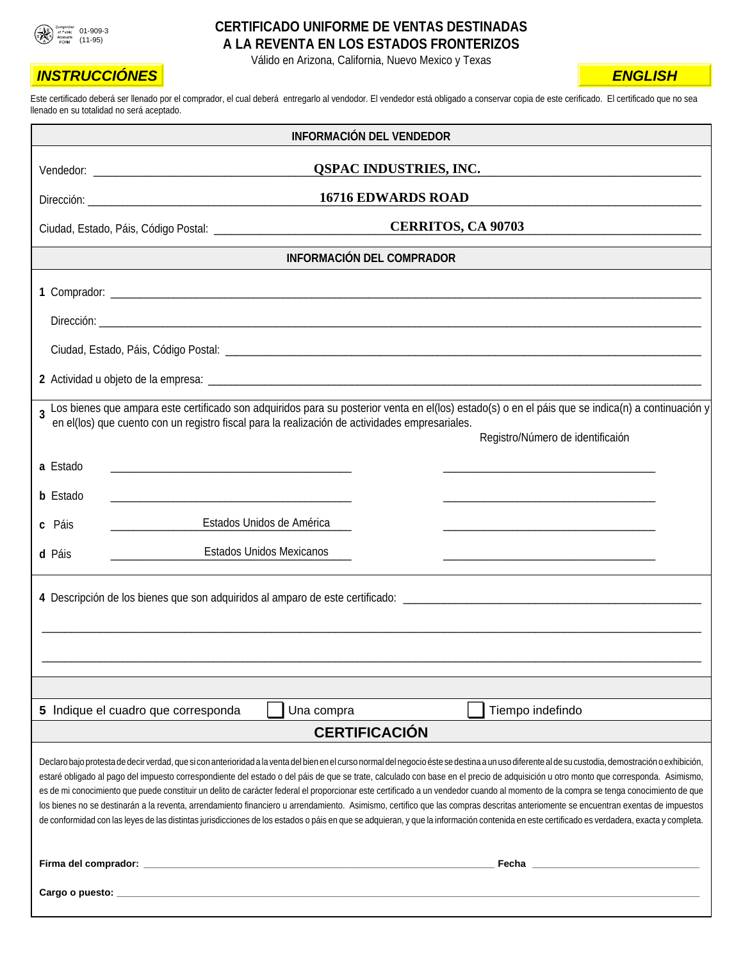<span id="page-2-0"></span>

### **CERTIFICADO UNIFORME DE VENTAS DESTINADAS A LA REVENTA EN LOS ESTADOS FRONTERIZOS**

Válido en Arizona, California, Nuevo Mexico y Texas

| <b>INSTRUCCIÓNES</b>                                                                                                                                                                                                                                                                                                                                                                                                                                                                                                                                                                                                                                                                                                                                                                                                                                                                                                                                                | <b>ENGLISH</b>                   |
|---------------------------------------------------------------------------------------------------------------------------------------------------------------------------------------------------------------------------------------------------------------------------------------------------------------------------------------------------------------------------------------------------------------------------------------------------------------------------------------------------------------------------------------------------------------------------------------------------------------------------------------------------------------------------------------------------------------------------------------------------------------------------------------------------------------------------------------------------------------------------------------------------------------------------------------------------------------------|----------------------------------|
| Este certificado deberá ser llenado por el comprador, el cual deberá entregarlo al vendodor. El vendedor está obligado a conservar copia de este cerificado. El certificado que no sea<br>llenado en su totalidad no será aceptado.                                                                                                                                                                                                                                                                                                                                                                                                                                                                                                                                                                                                                                                                                                                                 |                                  |
| <b>INFORMACIÓN DEL VENDEDOR</b>                                                                                                                                                                                                                                                                                                                                                                                                                                                                                                                                                                                                                                                                                                                                                                                                                                                                                                                                     |                                  |
| <b>QSPAC INDUSTRIES, INC.</b>                                                                                                                                                                                                                                                                                                                                                                                                                                                                                                                                                                                                                                                                                                                                                                                                                                                                                                                                       |                                  |
| <b>16716 EDWARDS ROAD</b>                                                                                                                                                                                                                                                                                                                                                                                                                                                                                                                                                                                                                                                                                                                                                                                                                                                                                                                                           |                                  |
| <b>CERRITOS, CA 90703</b>                                                                                                                                                                                                                                                                                                                                                                                                                                                                                                                                                                                                                                                                                                                                                                                                                                                                                                                                           |                                  |
| <b>INFORMACIÓN DEL COMPRADOR</b>                                                                                                                                                                                                                                                                                                                                                                                                                                                                                                                                                                                                                                                                                                                                                                                                                                                                                                                                    |                                  |
|                                                                                                                                                                                                                                                                                                                                                                                                                                                                                                                                                                                                                                                                                                                                                                                                                                                                                                                                                                     |                                  |
|                                                                                                                                                                                                                                                                                                                                                                                                                                                                                                                                                                                                                                                                                                                                                                                                                                                                                                                                                                     |                                  |
|                                                                                                                                                                                                                                                                                                                                                                                                                                                                                                                                                                                                                                                                                                                                                                                                                                                                                                                                                                     |                                  |
|                                                                                                                                                                                                                                                                                                                                                                                                                                                                                                                                                                                                                                                                                                                                                                                                                                                                                                                                                                     |                                  |
| 3 Los bienes que ampara este certificado son adquiridos para su posterior venta en el(los) estado(s) o en el páis que se indica(n) a continuación y<br>en el(los) que cuento con un registro fiscal para la realización de actividades empresariales.                                                                                                                                                                                                                                                                                                                                                                                                                                                                                                                                                                                                                                                                                                               | Registro/Número de identificaión |
| a Estado                                                                                                                                                                                                                                                                                                                                                                                                                                                                                                                                                                                                                                                                                                                                                                                                                                                                                                                                                            |                                  |
| <b>b</b> Estado                                                                                                                                                                                                                                                                                                                                                                                                                                                                                                                                                                                                                                                                                                                                                                                                                                                                                                                                                     |                                  |
| Estados Unidos de América<br>c Páis                                                                                                                                                                                                                                                                                                                                                                                                                                                                                                                                                                                                                                                                                                                                                                                                                                                                                                                                 |                                  |
| <b>Estados Unidos Mexicanos</b><br>d Páis                                                                                                                                                                                                                                                                                                                                                                                                                                                                                                                                                                                                                                                                                                                                                                                                                                                                                                                           |                                  |
|                                                                                                                                                                                                                                                                                                                                                                                                                                                                                                                                                                                                                                                                                                                                                                                                                                                                                                                                                                     |                                  |
|                                                                                                                                                                                                                                                                                                                                                                                                                                                                                                                                                                                                                                                                                                                                                                                                                                                                                                                                                                     |                                  |
|                                                                                                                                                                                                                                                                                                                                                                                                                                                                                                                                                                                                                                                                                                                                                                                                                                                                                                                                                                     |                                  |
| 5 Indique el cuadro que corresponda<br>Tiempo indefindo<br>Una compra                                                                                                                                                                                                                                                                                                                                                                                                                                                                                                                                                                                                                                                                                                                                                                                                                                                                                               |                                  |
| <b>CERTIFICACIÓN</b>                                                                                                                                                                                                                                                                                                                                                                                                                                                                                                                                                                                                                                                                                                                                                                                                                                                                                                                                                |                                  |
| Declaro bajo protesta de decir verdad, que si con anterioridad a la venta del bien en el curso normal del negocio éste se destina a un uso diferente al de su custodia, demostración o exhibición,<br>estaré obligado al pago del impuesto correspondiente del estado o del páis de que se trate, calculado con base en el precio de adquisición u otro monto que corresponda. Asimismo,<br>es de mi conocimiento que puede constituir un delito de carácter federal el proporcionar este certificado a un vendedor cuando al momento de la compra se tenga conocimiento de que<br>los bienes no se destinarán a la reventa, arrendamiento financiero u arrendamiento. Asimismo, certifico que las compras descritas anteriomente se encuentran exentas de impuestos<br>de conformidad con las leyes de las distintas jurisdicciones de los estados o páis en que se adquieran, y que la información contenida en este certificado es verdadera, exacta y completa. |                                  |
|                                                                                                                                                                                                                                                                                                                                                                                                                                                                                                                                                                                                                                                                                                                                                                                                                                                                                                                                                                     |                                  |
|                                                                                                                                                                                                                                                                                                                                                                                                                                                                                                                                                                                                                                                                                                                                                                                                                                                                                                                                                                     |                                  |